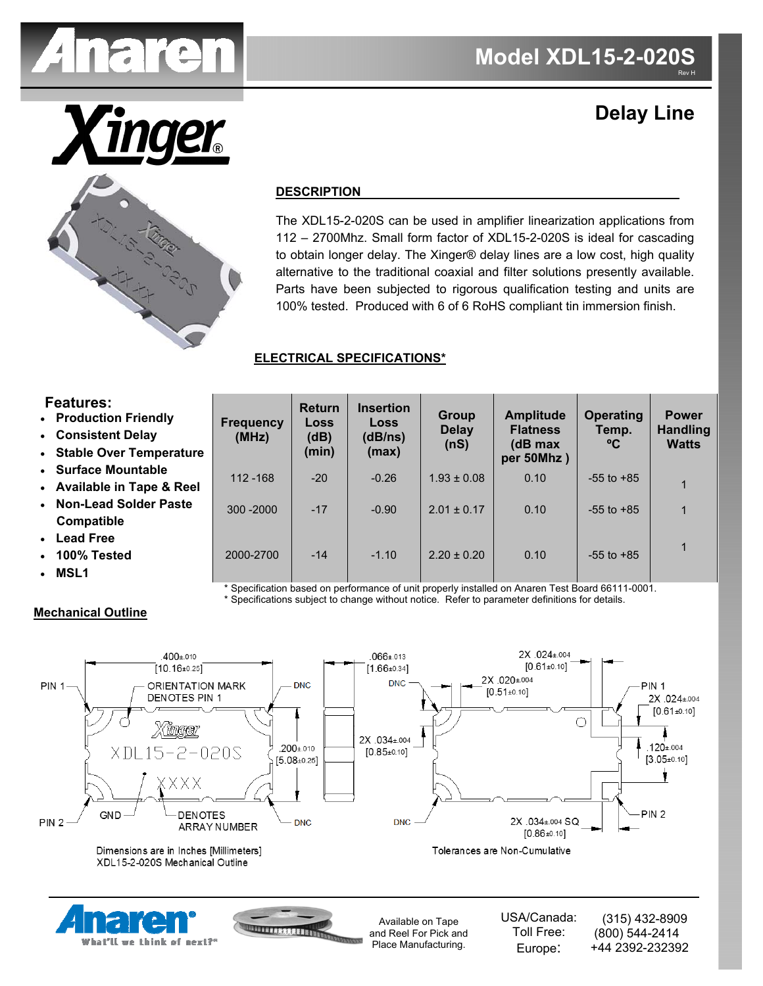

# **Delay Line**



## **DESCRIPTION**

The XDL15-2-020S can be used in amplifier linearization applications from 112 – 2700Mhz. Small form factor of XDL15-2-020S is ideal for cascading to obtain longer delay. The Xinger® delay lines are a low cost, high quality alternative to the traditional coaxial and filter solutions presently available. Parts have been subjected to rigorous qualification testing and units are 100% tested. Produced with 6 of 6 RoHS compliant tin immersion finish.

## **ELECTRICAL SPECIFICATIONS\***

## **Features:**

- **Production Friendly**
- **Consistent Delay**
- **Stable Over Temperature**
- **Surface Mountable**
- **Available in Tape & Reel**
- **Non-Lead Solder Paste Compatible**

What'll we think of next?'

- **Lead Free**
- **100% Tested**
- **MSL1**

| Frequency<br>(MHz) | <b>Return</b><br><b>Loss</b><br>(dB)<br>(min) | <b>Insertion</b><br><b>Loss</b><br>(dB/ns)<br>(max) | <b>Group</b><br><b>Delay</b><br>(nS) | <b>Amplitude</b><br><b>Flatness</b><br>(dB max<br>per 50Mhz) | <b>Operating</b><br>Temp.<br>°C | <b>Power</b><br><b>Handling</b><br><b>Watts</b> |
|--------------------|-----------------------------------------------|-----------------------------------------------------|--------------------------------------|--------------------------------------------------------------|---------------------------------|-------------------------------------------------|
| $112 - 168$        | $-20$                                         | $-0.26$                                             | $1.93 \pm 0.08$                      | 0.10                                                         | $-55$ to $+85$                  | 1                                               |
| $300 - 2000$       | $-17$                                         | $-0.90$                                             | $2.01 \pm 0.17$                      | 0.10                                                         | $-55$ to $+85$                  | 1                                               |
| 2000-2700          | $-14$                                         | $-1.10$                                             | $2.20 \pm 0.20$                      | 0.10                                                         | $-55$ to $+85$                  | 1                                               |

Specification based on performance of unit properly installed on Anaren Test Board 66111-0001.

\* Specifications subject to change without notice. Refer to parameter definitions for details.

Place Manufacturing.

Europe:

+44 2392-232392

## **Mechanical Outline**

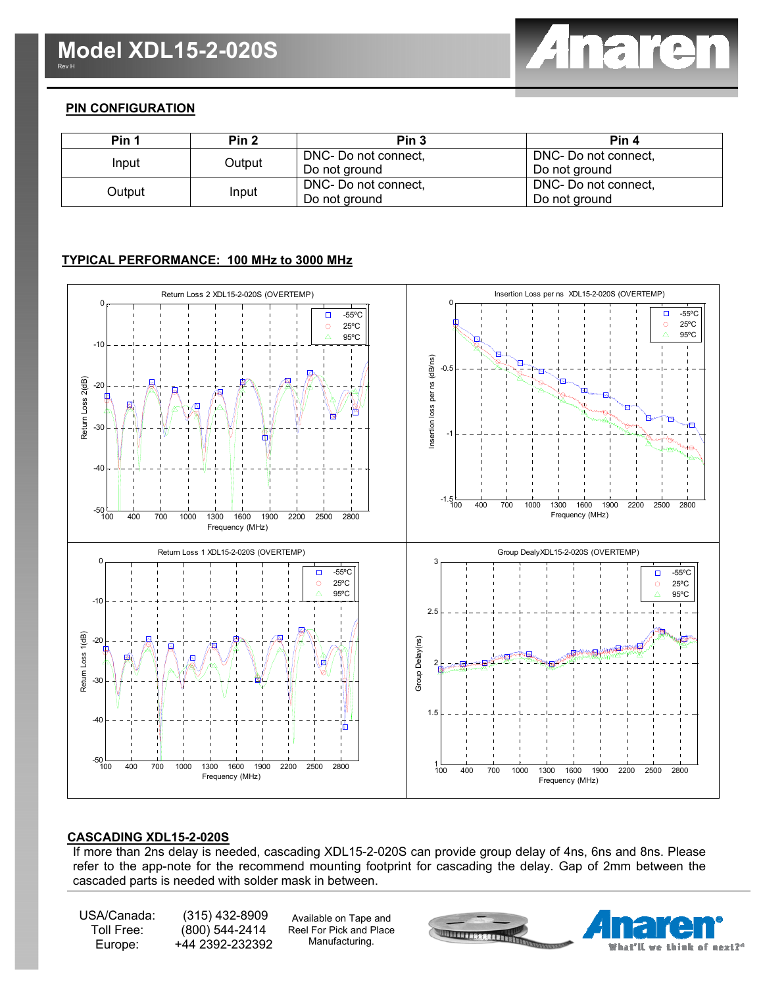

## **PIN CONFIGURATION**

| Pin 1  | Pin <sub>2</sub> | Pin <sub>3</sub>     | Pin 4                |
|--------|------------------|----------------------|----------------------|
|        |                  | DNC- Do not connect, | DNC- Do not connect, |
| Input  | Output           | Do not ground        | Do not ground        |
| Output | Input            | DNC- Do not connect, | DNC- Do not connect, |
|        |                  | Do not ground        | Do not ground        |

## **TYPICAL PERFORMANCE: 100 MHz to 3000 MHz**



#### **CASCADING XDL15-2-020S**

If more than 2ns delay is needed, cascading XDL15-2-020S can provide group delay of 4ns, 6ns and 8ns. Please refer to the app-note for the recommend mounting footprint for cascading the delay. Gap of 2mm between the cascaded parts is needed with solder mask in between.

USA/Canada: Toll Free: Europe:

 (315) 432-8909 (800) 544-2414 +44 2392-232392

Available on Tape and Reel For Pick and Place Manufacturing.

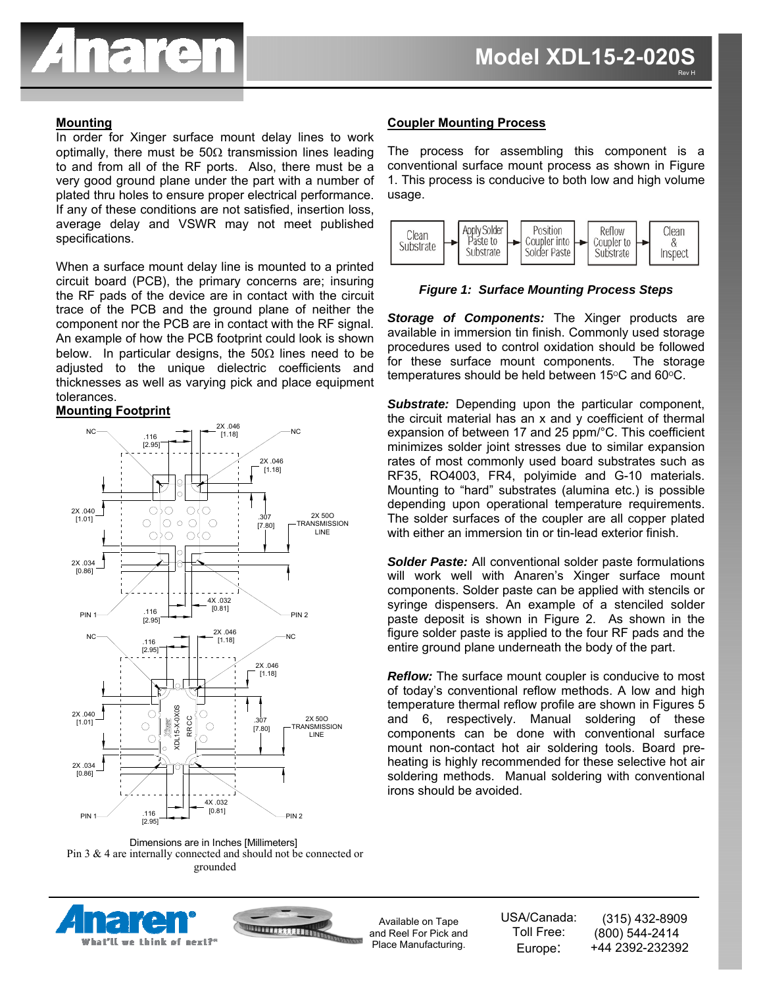

## **Mounting**

In order for Xinger surface mount delay lines to work optimally, there must be  $50\Omega$  transmission lines leading to and from all of the RF ports. Also, there must be a very good ground plane under the part with a number of plated thru holes to ensure proper electrical performance. If any of these conditions are not satisfied, insertion loss, average delay and VSWR may not meet published specifications.

When a surface mount delay line is mounted to a printed circuit board (PCB), the primary concerns are; insuring the RF pads of the device are in contact with the circuit trace of the PCB and the ground plane of neither the component nor the PCB are in contact with the RF signal. An example of how the PCB footprint could look is shown below. In particular designs, the 50 $\Omega$  lines need to be adjusted to the unique dielectric coefficients and thicknesses as well as varying pick and place equipment tolerances.

## **Mounting Footprint**









Available on Tape and Reel For Pick and Place Manufacturing.

USA/Canada: Toll Free: Europe: (315) 432-8909 (800) 544-2414 +44 2392-232392

#### **Coupler Mounting Process**

The process for assembling this component is a conventional surface mount process as shown in Figure 1. This process is conducive to both low and high volume usage.



*Figure 1: Surface Mounting Process Steps* 

*Storage of Components:* The Xinger products are available in immersion tin finish. Commonly used storage procedures used to control oxidation should be followed for these surface mount components. The storage temperatures should be held between  $15^{\circ}$ C and  $60^{\circ}$ C.

**Substrate:** Depending upon the particular component, the circuit material has an x and y coefficient of thermal expansion of between 17 and 25 ppm/°C. This coefficient minimizes solder joint stresses due to similar expansion rates of most commonly used board substrates such as RF35, RO4003, FR4, polyimide and G-10 materials. Mounting to "hard" substrates (alumina etc.) is possible depending upon operational temperature requirements. The solder surfaces of the coupler are all copper plated with either an immersion tin or tin-lead exterior finish.

*Solder Paste:* All conventional solder paste formulations will work well with Anaren's Xinger surface mount components. Solder paste can be applied with stencils or syringe dispensers. An example of a stenciled solder paste deposit is shown in Figure 2. As shown in the figure solder paste is applied to the four RF pads and the entire ground plane underneath the body of the part.

*Reflow:* The surface mount coupler is conducive to most of today's conventional reflow methods. A low and high temperature thermal reflow profile are shown in Figures 5 and 6, respectively. Manual soldering of these components can be done with conventional surface mount non-contact hot air soldering tools. Board preheating is highly recommended for these selective hot air soldering methods. Manual soldering with conventional irons should be avoided.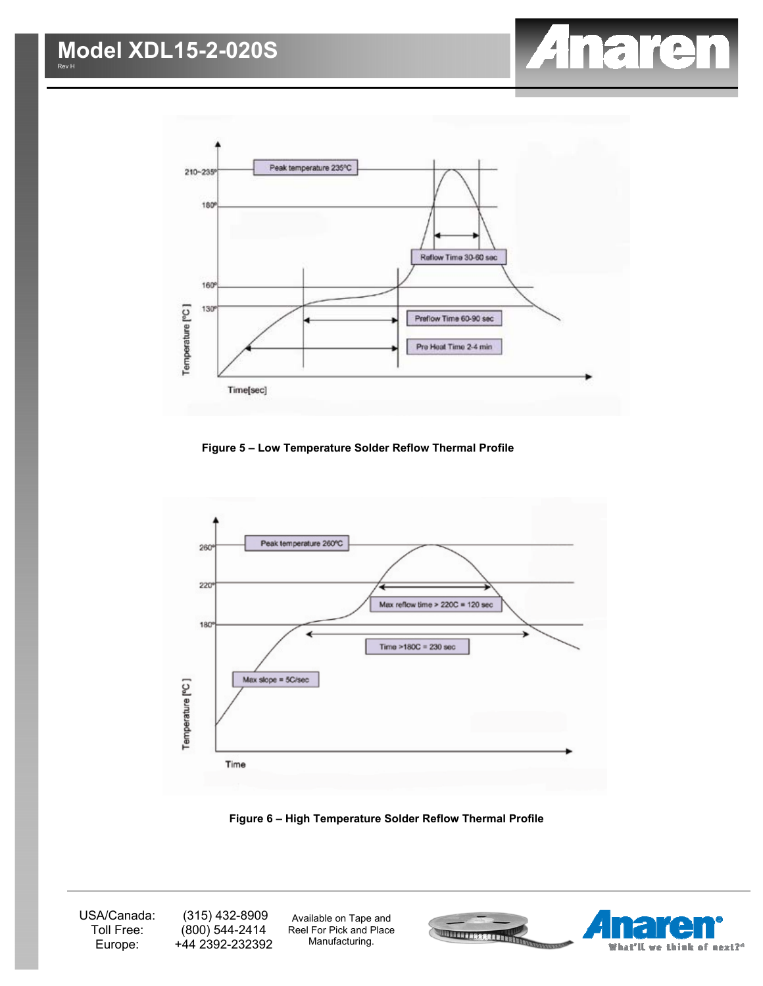



**Figure 5 – Low Temperature Solder Reflow Thermal Profile** 



**Figure 6 – High Temperature Solder Reflow Thermal Profile**

USA/Canada: Toll Free: Europe:

 (315) 432-8909 (800) 544-2414 +44 2392-232392

Available on Tape and Reel For Pick and Place Manufacturing.

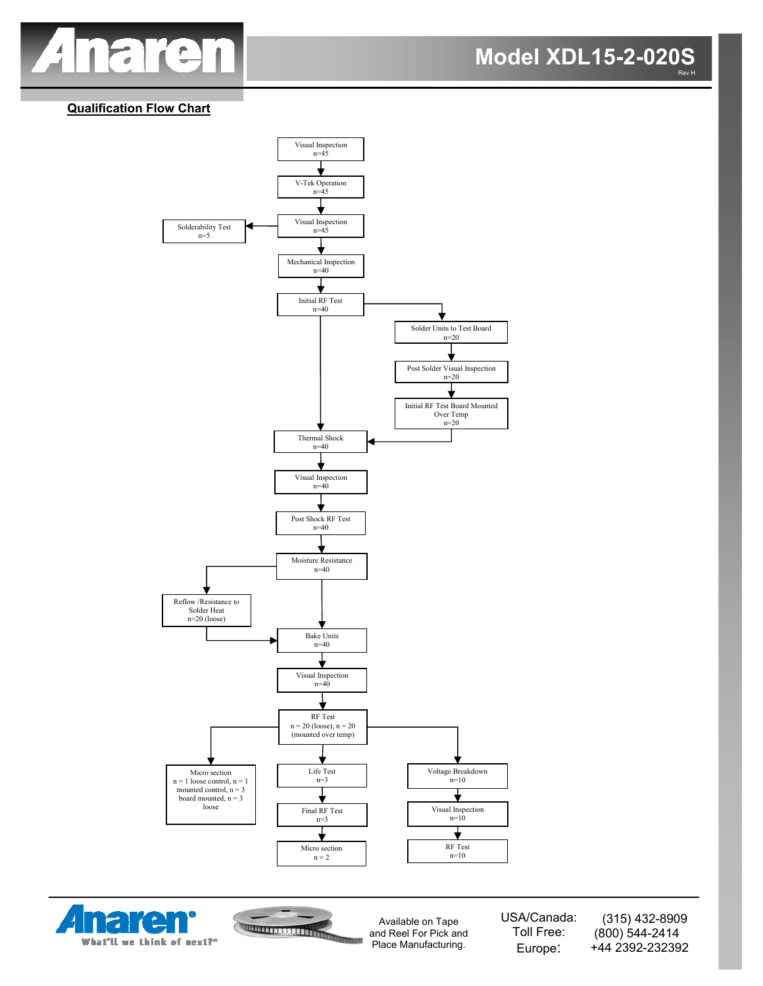

## **Qualification Flow Chart**







Available on Tape and Reel For Pick and Place Manufacturing.

USA/Canada: Toll Free: Europe:

 (315) 432-8909 (800) 544-2414 +44 2392-232392